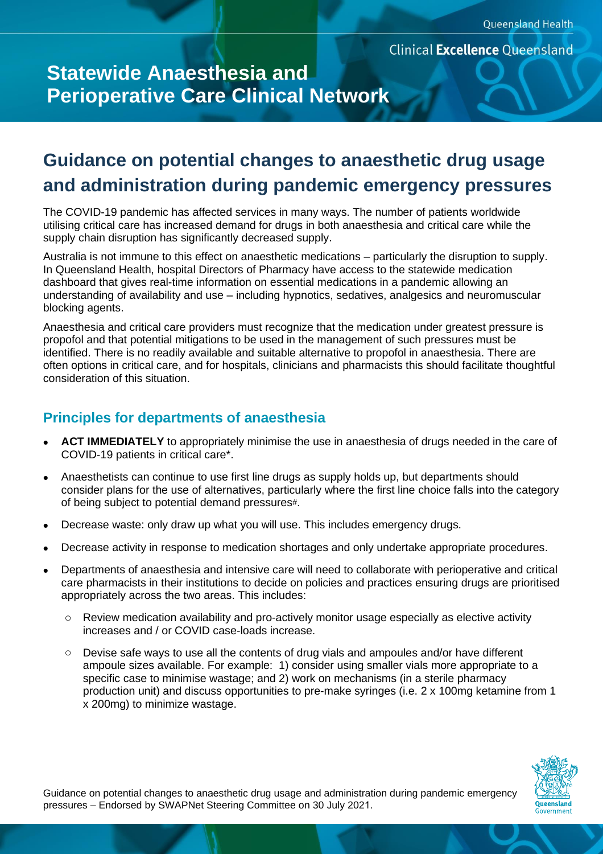# **Statewide Anaesthesia and Perioperative Care Clinical Network**

## **Guidance on potential changes to anaesthetic drug usage and administration during pandemic emergency pressures**

The COVID-19 pandemic has affected services in many ways. The number of patients worldwide utilising critical care has increased demand for drugs in both anaesthesia and critical care while the supply chain disruption has significantly decreased supply.

Australia is not immune to this effect on anaesthetic medications – particularly the disruption to supply. In Queensland Health, hospital Directors of Pharmacy have access to the statewide medication dashboard that gives real-time information on essential medications in a pandemic allowing an understanding of availability and use – including hypnotics, sedatives, analgesics and neuromuscular blocking agents.

Anaesthesia and critical care providers must recognize that the medication under greatest pressure is propofol and that potential mitigations to be used in the management of such pressures must be identified. There is no readily available and suitable alternative to propofol in anaesthesia. There are often options in critical care, and for hospitals, clinicians and pharmacists this should facilitate thoughtful consideration of this situation.

## **Principles for departments of anaesthesia**

- **ACT IMMEDIATELY** to appropriately minimise the use in anaesthesia of drugs needed in the care of COVID-19 patients in critical care\*.
- Anaesthetists can continue to use first line drugs as supply holds up, but departments should consider plans for the use of alternatives, particularly where the first line choice falls into the category of being subject to potential demand pressures#.
- Decrease waste: only draw up what you will use. This includes emergency drugs.
- Decrease activity in response to medication shortages and only undertake appropriate procedures.
- Departments of anaesthesia and intensive care will need to collaborate with perioperative and critical care pharmacists in their institutions to decide on policies and practices ensuring drugs are prioritised appropriately across the two areas. This includes:
	- o Review medication availability and pro-actively monitor usage especially as elective activity increases and / or COVID case-loads increase.
	- $\circ$  Devise safe ways to use all the contents of drug vials and ampoules and/or have different ampoule sizes available. For example: 1) consider using smaller vials more appropriate to a specific case to minimise wastage; and 2) work on mechanisms (in a sterile pharmacy production unit) and discuss opportunities to pre-make syringes (i.e. 2 x 100mg ketamine from 1 x 200mg) to minimize wastage.